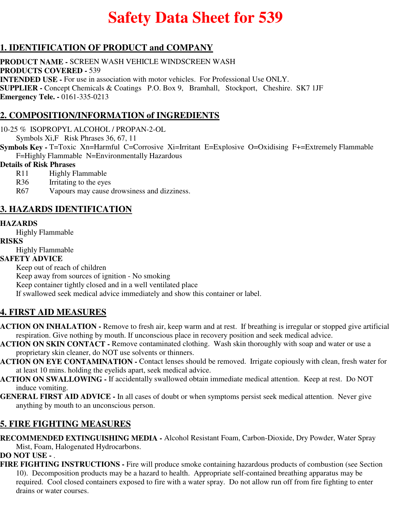# **Safety Data Sheet for 539**

## **1. IDENTIFICATION OF PRODUCT and COMPANY**

**PRODUCT NAME -** SCREEN WASH VEHICLE WINDSCREEN WASH **PRODUCTS COVERED -** 539 **INTENDED USE -** For use in association with motor vehicles. For Professional Use ONLY. **SUPPLIER -** Concept Chemicals & Coatings P.O. Box 9, Bramhall, Stockport, Cheshire. SK7 1JF **Emergency Tele. -** 0161-335-0213

## **2. COMPOSITION/INFORMATION of INGREDIENTS**

10-25 % ISOPROPYL ALCOHOL / PROPAN-2-OL

Symbols Xi,F Risk Phrases 36, 67, 11

**Symbols Key -** T=Toxic Xn=Harmful C=Corrosive Xi=Irritant E=Explosive O=Oxidising F+=Extremely Flammable F=Highly Flammable N=Environmentally Hazardous

### **Details of Risk Phrases**

- R<sub>11</sub> Highly Flammable
- R36 Irritating to the eyes
- R67 Vapours may cause drowsiness and dizziness.

### **3. HAZARDS IDENTIFICATION**

### **HAZARDS**

Highly Flammable

#### **RISKS**

Highly Flammable

### **SAFETY ADVICE**

Keep out of reach of children

Keep away from sources of ignition - No smoking

Keep container tightly closed and in a well ventilated place

If swallowed seek medical advice immediately and show this container or label.

### **4. FIRST AID MEASURES**

- **ACTION ON INHALATION** Remove to fresh air, keep warm and at rest. If breathing is irregular or stopped give artificial respiration. Give nothing by mouth. If unconscious place in recovery position and seek medical advice.
- **ACTION ON SKIN CONTACT** Remove contaminated clothing. Wash skin thoroughly with soap and water or use a proprietary skin cleaner, do NOT use solvents or thinners.
- **ACTION ON EYE CONTAMINATION** Contact lenses should be removed. Irrigate copiously with clean, fresh water for at least 10 mins. holding the eyelids apart, seek medical advice.
- **ACTION ON SWALLOWING** If accidentally swallowed obtain immediate medical attention. Keep at rest. Do NOT induce vomiting.
- **GENERAL FIRST AID ADVICE** In all cases of doubt or when symptoms persist seek medical attention. Never give anything by mouth to an unconscious person.

# **5. FIRE FIGHTING MEASURES**

**RECOMMENDED EXTINGUISHING MEDIA -** Alcohol Resistant Foam, Carbon-Dioxide, Dry Powder, Water Spray Mist, Foam, Halogenated Hydrocarbons.

### **DO NOT USE -** .

**FIRE FIGHTING INSTRUCTIONS -** Fire will produce smoke containing hazardous products of combustion (see Section 10). Decomposition products may be a hazard to health. Appropriate self-contained breathing apparatus may be required. Cool closed containers exposed to fire with a water spray. Do not allow run off from fire fighting to enter drains or water courses.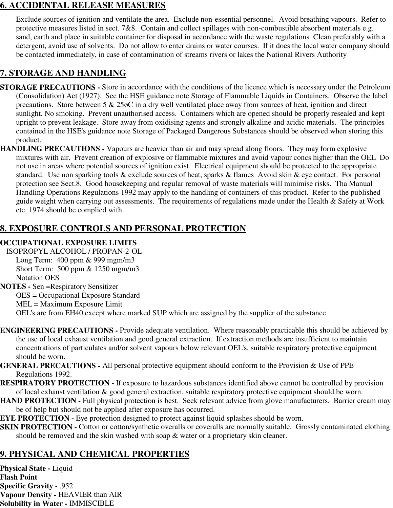### **6. ACCIDENTAL RELEASE MEASURES**

Exclude sources of ignition and ventilate the area. Exclude non-essential personnel. Avoid breathing vapours. Refer to protective measures listed in sect. 7&8. Contain and collect spillages with non-combustible absorbent materials e.g. sand, earth and place in suitable container for disposal in accordance with the waste regulations Clean preferably with a detergent, avoid use of solvents. Do not allow to enter drains or water courses. If it does the local water company should be contacted immediately, in case of contamination of streams rivers or lakes the National Rivers Authority

# **7. STORAGE AND HANDLING**

- **STORAGE PRECAUTIONS** Store in accordance with the conditions of the licence which is necessary under the Petroleum (Consolidation) Act (1927). See the HSE guidance note Storage of Flammable Liquids in Containers. Observe the label precautions. Store between 5 & 25øC in a dry well ventilated place away from sources of heat, ignition and direct sunlight. No smoking. Prevent unauthorised access. Containers which are opened should be properly resealed and kept upright to prevent leakage. Store away from oxidising agents and strongly alkaline and acidic materials. The principles contained in the HSE's guidance note Storage of Packaged Dangerous Substances should be observed when storing this product.
- **HANDLING PRECAUTIONS** Vapours are heavier than air and may spread along floors. They may form explosive mixtures with air. Prevent creation of explosive or flammable mixtures and avoid vapour concs higher than the OEL Do not use in areas where potential sources of ignition exist. Electrical equipment should be protected to the appropriate standard. Use non sparking tools & exclude sources of heat, sparks & flames Avoid skin & eye contact. For personal protection see Sect.8. Good housekeeping and regular removal of waste materials will minimise risks. Tha Manual Handling Operations Regulations 1992 may apply to the handling of containers of this product. Refer to the published guide weight when carrying out assessments. The requirements of regulations made under the Health & Safety at Work etc. 1974 should be complied with.

# **8. EXPOSURE CONTROLS AND PERSONAL PROTECTION**

### **OCCUPATIONAL EXPOSURE LIMITS**

ISOPROPYL ALCOHOL / PROPAN-2-OL Long Term: 400 ppm & 999 mgm/m3 Short Term: 500 ppm & 1250 mgm/m3 Notation OES

**NOTES -** Sen =Respiratory Sensitizer OES = Occupational Exposure Standard MEL = Maximum Exposure Limit OEL's are from EH40 except where marked SUP which are assigned by the supplier of the substance

- **ENGINEERING PRECAUTIONS** Provide adequate ventilation. Where reasonably practicable this should be achieved by the use of local exhaust ventilation and good general extraction. If extraction methods are insufficient to maintain concentrations of particulates and/or solvent vapours below relevant OEL's, suitable respiratory protective equipment should be worn.
- **GENERAL PRECAUTIONS** All personal protective equipment should conform to the Provision & Use of PPE Regulations 1992.
- **RESPIRATORY PROTECTION** If exposure to hazardous substances identified above cannot be controlled by provision of local exhaust ventilation & good general extraction, suitable respiratory protective equipment should be worn.
- **HAND PROTECTION Full physical protection is best. Seek relevant advice from glove manufacturers. Barrier cream may** be of help but should not be applied after exposure has occurred.
- **EYE PROTECTION -** Eye protection designed to protect against liquid splashes should be worn.
- **SKIN PROTECTION -** Cotton or cotton/synthetic overalls or coveralls are normally suitable. Grossly contaminated clothing should be removed and the skin washed with soap & water or a proprietary skin cleaner.

# **9. PHYSICAL AND CHEMICAL PROPERTIES**

**Physical State -** Liquid **Flash Point Specific Gravity -** .952 **Vapour Density -** HEAVIER than AIR **Solubility in Water -** IMMISCIBLE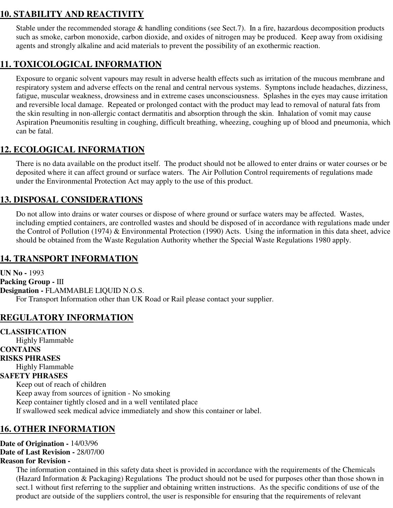# **10. STABILITY AND REACTIVITY**

Stable under the recommended storage & handling conditions (see Sect.7). In a fire, hazardous decomposition products such as smoke, carbon monoxide, carbon dioxide, and oxides of nitrogen may be produced. Keep away from oxidising agents and strongly alkaline and acid materials to prevent the possibility of an exothermic reaction.

## **11. TOXICOLOGICAL INFORMATION**

Exposure to organic solvent vapours may result in adverse health effects such as irritation of the mucous membrane and respiratory system and adverse effects on the renal and central nervous systems. Symptons include headaches, dizziness, fatigue, muscular weakness, drowsiness and in extreme cases unconsciousness. Splashes in the eyes may cause irritation and reversible local damage. Repeated or prolonged contact with the product may lead to removal of natural fats from the skin resulting in non-allergic contact dermatitis and absorption through the skin. Inhalation of vomit may cause Aspiration Pneumonitis resulting in coughing, difficult breathing, wheezing, coughing up of blood and pneumonia, which can be fatal.

### **12. ECOLOGICAL INFORMATION**

There is no data available on the product itself. The product should not be allowed to enter drains or water courses or be deposited where it can affect ground or surface waters. The Air Pollution Control requirements of regulations made under the Environmental Protection Act may apply to the use of this product.

### **13. DISPOSAL CONSIDERATIONS**

Do not allow into drains or water courses or dispose of where ground or surface waters may be affected. Wastes, including emptied containers, are controlled wastes and should be disposed of in accordance with regulations made under the Control of Pollution (1974) & Environmental Protection (1990) Acts. Using the information in this data sheet, advice should be obtained from the Waste Regulation Authority whether the Special Waste Regulations 1980 apply.

### **14. TRANSPORT INFORMATION**

**UN No -** 1993 **Packing Group -** III **Designation -** FLAMMABLE LIQUID N.O.S. For Transport Information other than UK Road or Rail please contact your supplier.

### **REGULATORY INFORMATION**

**CLASSIFICATION** Highly Flammable **CONTAINS RISKS PHRASES** Highly Flammable **SAFETY PHRASES** Keep out of reach of children Keep away from sources of ignition - No smoking Keep container tightly closed and in a well ventilated place If swallowed seek medical advice immediately and show this container or label.

### **16. OTHER INFORMATION**

**Date of Origination -** 14/03/96

**Date of Last Revision -** 28/07/00

#### **Reason for Revision -**

The information contained in this safety data sheet is provided in accordance with the requirements of the Chemicals (Hazard Information & Packaging) Regulations The product should not be used for purposes other than those shown in sect.1 without first referring to the supplier and obtaining written instructions. As the specific conditions of use of the product are outside of the suppliers control, the user is responsible for ensuring that the requirements of relevant